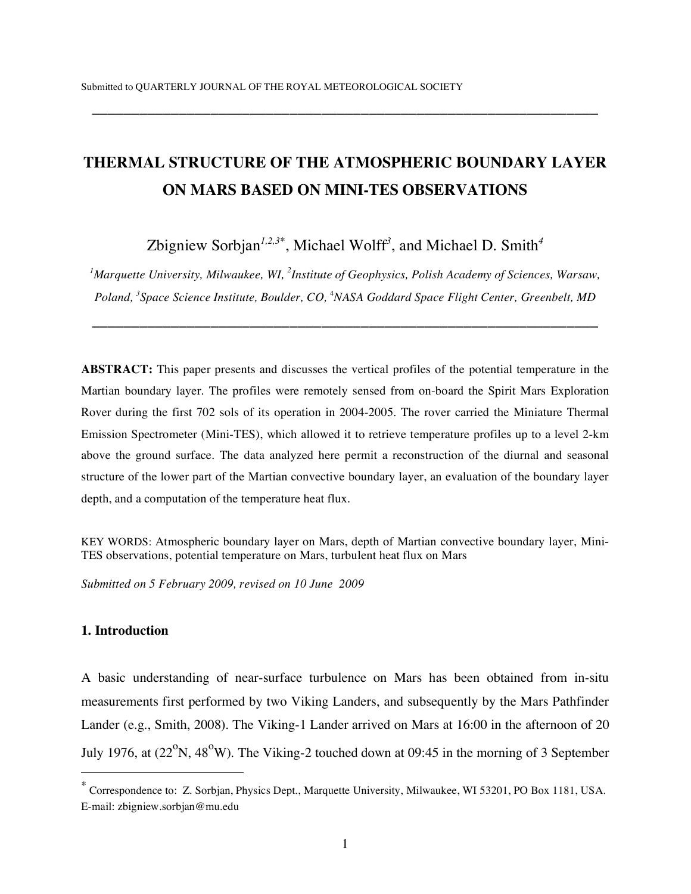# **THERMAL STRUCTURE OF THE ATMOSPHERIC BOUNDARY LAYER ON MARS BASED ON MINI-TES OBSERVATIONS**

**\_\_\_\_\_\_\_\_\_\_\_\_\_\_\_\_\_\_\_\_\_\_\_\_\_\_\_\_\_\_\_\_\_\_\_\_\_\_\_\_\_\_\_\_\_\_\_\_\_\_\_\_\_\_\_\_\_\_\_\_\_\_\_\_**

Zbigniew Sorbjan*1,2,3*<sup>∗</sup> , Michael Wolff *3* , and Michael D. Smith*<sup>4</sup>*

*1 Marquette University, Milwaukee, WI, <sup>2</sup> Institute of Geophysics, Polish Academy of Sciences, Warsaw, Poland, <sup>3</sup> Space Science Institute, Boulder, CO,* <sup>4</sup> *NASA Goddard Space Flight Center, Greenbelt, MD*

**\_\_\_\_\_\_\_\_\_\_\_\_\_\_\_\_\_\_\_\_\_\_\_\_\_\_\_\_\_\_\_\_\_\_\_\_\_\_\_\_\_\_\_\_\_\_\_\_\_\_\_\_\_\_\_\_\_\_\_\_\_\_\_\_**

**ABSTRACT:** This paper presents and discusses the vertical profiles of the potential temperature in the Martian boundary layer. The profiles were remotely sensed from on-board the Spirit Mars Exploration Rover during the first 702 sols of its operation in 2004-2005. The rover carried the Miniature Thermal Emission Spectrometer (Mini-TES), which allowed it to retrieve temperature profiles up to a level 2-km above the ground surface. The data analyzed here permit a reconstruction of the diurnal and seasonal structure of the lower part of the Martian convective boundary layer, an evaluation of the boundary layer depth, and a computation of the temperature heat flux.

KEY WORDS: Atmospheric boundary layer on Mars, depth of Martian convective boundary layer, Mini-TES observations, potential temperature on Mars, turbulent heat flux on Mars

*Submitted on 5 February 2009, revised on 10 June 2009*

## **1. Introduction**

 $\overline{a}$ 

A basic understanding of near-surface turbulence on Mars has been obtained from in-situ measurements first performed by two Viking Landers, and subsequently by the Mars Pathfinder Lander (e.g., Smith, 2008). The Viking-1 Lander arrived on Mars at 16:00 in the afternoon of 20 July 1976, at  $(22^{\circ}N, 48^{\circ}W)$ . The Viking-2 touched down at 09:45 in the morning of 3 September

<sup>∗</sup> Correspondence to: Z. Sorbjan, Physics Dept., Marquette University, Milwaukee, WI 53201, PO Box 1181, USA. E-mail: zbigniew.sorbjan@mu.edu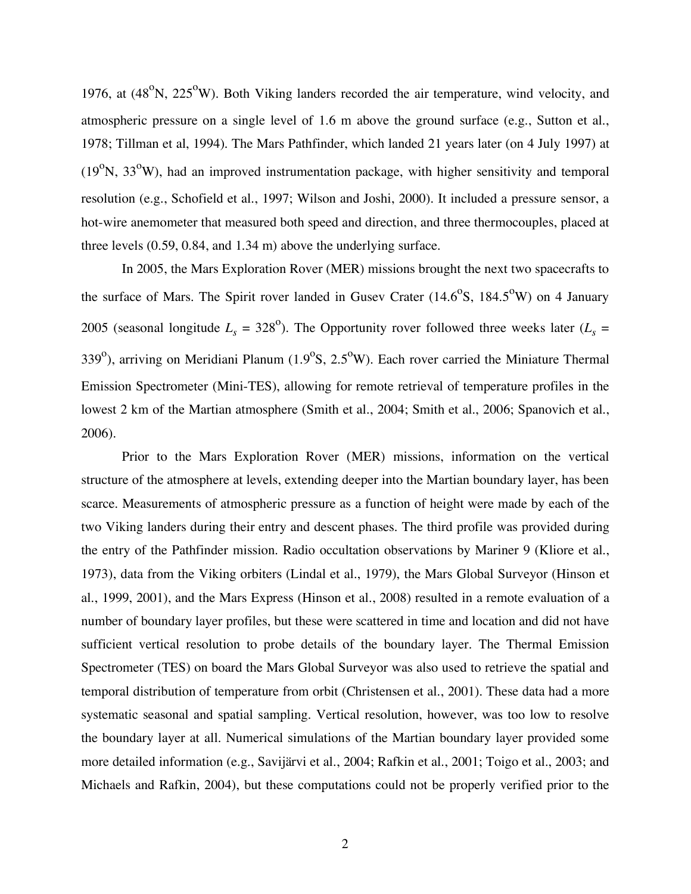1976, at  $(48^{\circ}N, 225^{\circ}W)$ . Both Viking landers recorded the air temperature, wind velocity, and atmospheric pressure on a single level of 1.6 m above the ground surface (e.g., Sutton et al., 1978; Tillman et al, 1994). The Mars Pathfinder, which landed 21 years later (on 4 July 1997) at ( $19^{\circ}$ N,  $33^{\circ}$ W), had an improved instrumentation package, with higher sensitivity and temporal resolution (e.g., Schofield et al., 1997; Wilson and Joshi, 2000). It included a pressure sensor, a hot-wire anemometer that measured both speed and direction, and three thermocouples, placed at three levels (0.59, 0.84, and 1.34 m) above the underlying surface.

In 2005, the Mars Exploration Rover (MER) missions brought the next two spacecrafts to the surface of Mars. The Spirit rover landed in Gusev Crater  $(14.6^{\circ}S, 184.5^{\circ}W)$  on 4 January 2005 (seasonal longitude  $L_s = 328^\circ$ ). The Opportunity rover followed three weeks later ( $L_s =$ 339<sup>o</sup>), arriving on Meridiani Planum (1.9<sup>o</sup>S, 2.5<sup>o</sup>W). Each rover carried the Miniature Thermal Emission Spectrometer (Mini-TES), allowing for remote retrieval of temperature profiles in the lowest 2 km of the Martian atmosphere (Smith et al., 2004; Smith et al., 2006; Spanovich et al., 2006).

Prior to the Mars Exploration Rover (MER) missions, information on the vertical structure of the atmosphere at levels, extending deeper into the Martian boundary layer, has been scarce. Measurements of atmospheric pressure as a function of height were made by each of the two Viking landers during their entry and descent phases. The third profile was provided during the entry of the Pathfinder mission. Radio occultation observations by Mariner 9 (Kliore et al., 1973), data from the Viking orbiters (Lindal et al., 1979), the Mars Global Surveyor (Hinson et al., 1999, 2001), and the Mars Express (Hinson et al., 2008) resulted in a remote evaluation of a number of boundary layer profiles, but these were scattered in time and location and did not have sufficient vertical resolution to probe details of the boundary layer. The Thermal Emission Spectrometer (TES) on board the Mars Global Surveyor was also used to retrieve the spatial and temporal distribution of temperature from orbit (Christensen et al., 2001). These data had a more systematic seasonal and spatial sampling. Vertical resolution, however, was too low to resolve the boundary layer at all. Numerical simulations of the Martian boundary layer provided some more detailed information (e.g., Savijärvi et al., 2004; Rafkin et al., 2001; Toigo et al., 2003; and Michaels and Rafkin, 2004), but these computations could not be properly verified prior to the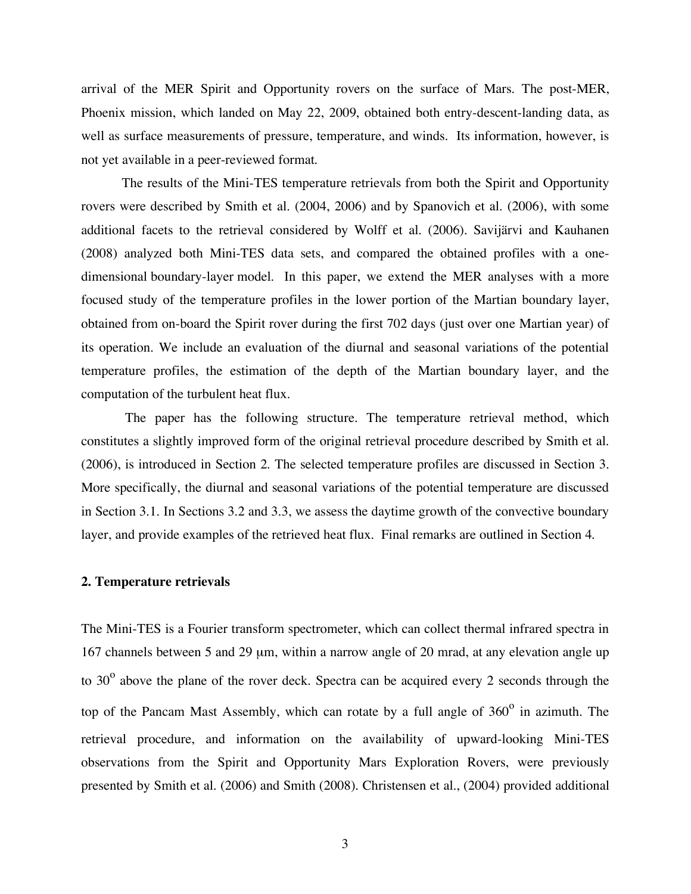arrival of the MER Spirit and Opportunity rovers on the surface of Mars. The post-MER, Phoenix mission, which landed on May 22, 2009, obtained both entry-descent-landing data, as well as surface measurements of pressure, temperature, and winds. Its information, however, is not yet available in a peer-reviewed format.

The results of the Mini-TES temperature retrievals from both the Spirit and Opportunity rovers were described by Smith et al. (2004, 2006) and by Spanovich et al. (2006), with some additional facets to the retrieval considered by Wolff et al. (2006). Savijärvi and Kauhanen (2008) analyzed both Mini-TES data sets, and compared the obtained profiles with a onedimensional boundary-layer model. In this paper, we extend the MER analyses with a more focused study of the temperature profiles in the lower portion of the Martian boundary layer, obtained from on-board the Spirit rover during the first 702 days (just over one Martian year) of its operation. We include an evaluation of the diurnal and seasonal variations of the potential temperature profiles, the estimation of the depth of the Martian boundary layer, and the computation of the turbulent heat flux.

The paper has the following structure. The temperature retrieval method, which constitutes a slightly improved form of the original retrieval procedure described by Smith et al. (2006), is introduced in Section 2. The selected temperature profiles are discussed in Section 3. More specifically, the diurnal and seasonal variations of the potential temperature are discussed in Section 3.1. In Sections 3.2 and 3.3, we assess the daytime growth of the convective boundary layer, and provide examples of the retrieved heat flux. Final remarks are outlined in Section 4.

#### **2. Temperature retrievals**

The Mini-TES is a Fourier transform spectrometer, which can collect thermal infrared spectra in 167 channels between 5 and 29 µm, within a narrow angle of 20 mrad, at any elevation angle up to 30 $^{\circ}$  above the plane of the rover deck. Spectra can be acquired every 2 seconds through the top of the Pancam Mast Assembly, which can rotate by a full angle of  $360^\circ$  in azimuth. The retrieval procedure, and information on the availability of upward-looking Mini-TES observations from the Spirit and Opportunity Mars Exploration Rovers, were previously presented by Smith et al. (2006) and Smith (2008). Christensen et al., (2004) provided additional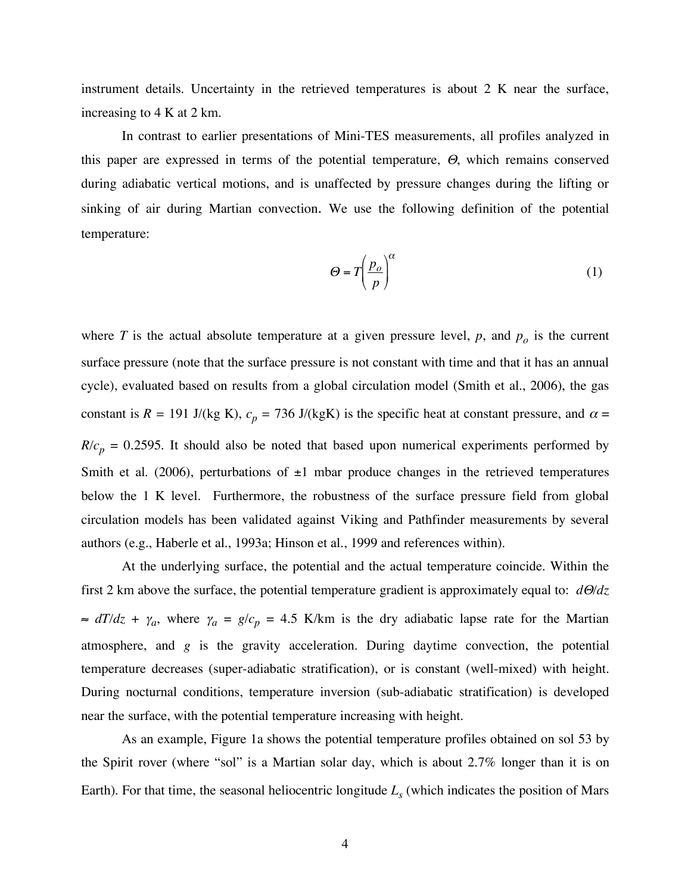instrument details. Uncertainty in the retrieved temperatures is about 2 K near the surface, increasing to 4 K at 2 km.

In contrast to earlier presentations of Mini-TES measurements, all profiles analyzed in this paper are expressed in terms of the potential temperature, <sup>Θ</sup>, which remains conserved during adiabatic vertical motions, and is unaffected by pressure changes during the lifting or sinking of air during Martian convection. We use the following definition of the potential temperature:

$$
\Theta = T \left( \frac{p_o}{p} \right)^{\alpha} \tag{1}
$$

where *T* is the actual absolute temperature at a given pressure level,  $p$ , and  $p<sub>o</sub>$  is the current surface pressure (note that the surface pressure is not constant with time and that it has an annual cycle), evaluated based on results from a global circulation model (Smith et al., 2006), the gas constant is  $R = 191$  J/(kg K),  $c_p = 736$  J/(kgK) is the specific heat at constant pressure, and  $\alpha =$  $R/c_p = 0.2595$ . It should also be noted that based upon numerical experiments performed by Smith et al. (2006), perturbations of  $\pm 1$  mbar produce changes in the retrieved temperatures below the 1 K level. Furthermore, the robustness of the surface pressure field from global circulation models has been validated against Viking and Pathfinder measurements by several authors (e.g., Haberle et al., 1993a; Hinson et al., 1999 and references within).

At the underlying surface, the potential and the actual temperature coincide. Within the first 2 km above the surface, the potential temperature gradient is approximately equal to: *d*Θ*/dz*  $\approx dT/dz + \gamma_a$ , where  $\gamma_a = g/c_p = 4.5$  K/km is the dry adiabatic lapse rate for the Martian atmosphere, and *g* is the gravity acceleration. During daytime convection, the potential temperature decreases (super-adiabatic stratification), or is constant (well-mixed) with height. During nocturnal conditions, temperature inversion (sub-adiabatic stratification) is developed near the surface, with the potential temperature increasing with height.

As an example, Figure 1a shows the potential temperature profiles obtained on sol 53 by the Spirit rover (where "sol" is a Martian solar day, which is about 2.7% longer than it is on Earth). For that time, the seasonal heliocentric longitude  $L<sub>s</sub>$  (which indicates the position of Mars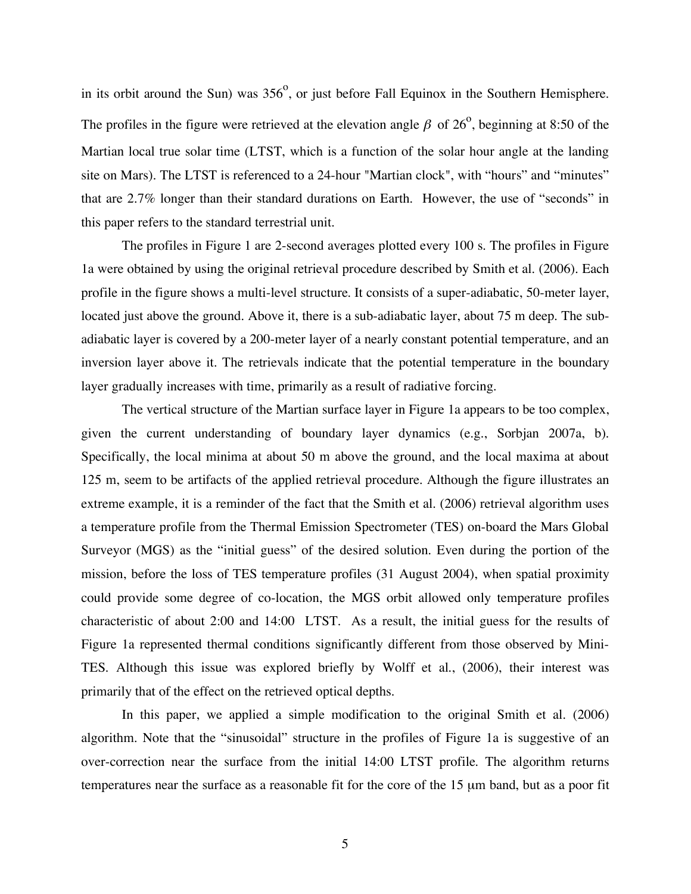in its orbit around the Sun) was  $356^{\circ}$ , or just before Fall Equinox in the Southern Hemisphere. The profiles in the figure were retrieved at the elevation angle  $\beta$  of 26<sup>o</sup>, beginning at 8:50 of the Martian local true solar time (LTST, which is a function of the solar hour angle at the landing site on Mars). The LTST is referenced to a 24-hour "Martian clock", with "hours" and "minutes" that are 2.7% longer than their standard durations on Earth. However, the use of "seconds" in this paper refers to the standard terrestrial unit.

The profiles in Figure 1 are 2-second averages plotted every 100 s. The profiles in Figure 1a were obtained by using the original retrieval procedure described by Smith et al. (2006). Each profile in the figure shows a multi-level structure. It consists of a super-adiabatic, 50-meter layer, located just above the ground. Above it, there is a sub-adiabatic layer, about 75 m deep. The subadiabatic layer is covered by a 200-meter layer of a nearly constant potential temperature, and an inversion layer above it. The retrievals indicate that the potential temperature in the boundary layer gradually increases with time, primarily as a result of radiative forcing.

The vertical structure of the Martian surface layer in Figure 1a appears to be too complex, given the current understanding of boundary layer dynamics (e.g., Sorbjan 2007a, b). Specifically, the local minima at about 50 m above the ground, and the local maxima at about 125 m, seem to be artifacts of the applied retrieval procedure. Although the figure illustrates an extreme example, it is a reminder of the fact that the Smith et al. (2006) retrieval algorithm uses a temperature profile from the Thermal Emission Spectrometer (TES) on-board the Mars Global Surveyor (MGS) as the "initial guess" of the desired solution. Even during the portion of the mission, before the loss of TES temperature profiles (31 August 2004), when spatial proximity could provide some degree of co-location, the MGS orbit allowed only temperature profiles characteristic of about 2:00 and 14:00 LTST. As a result, the initial guess for the results of Figure 1a represented thermal conditions significantly different from those observed by Mini-TES. Although this issue was explored briefly by Wolff et al., (2006), their interest was primarily that of the effect on the retrieved optical depths.

In this paper, we applied a simple modification to the original Smith et al. (2006) algorithm. Note that the "sinusoidal" structure in the profiles of Figure 1a is suggestive of an over-correction near the surface from the initial 14:00 LTST profile. The algorithm returns temperatures near the surface as a reasonable fit for the core of the 15 µm band, but as a poor fit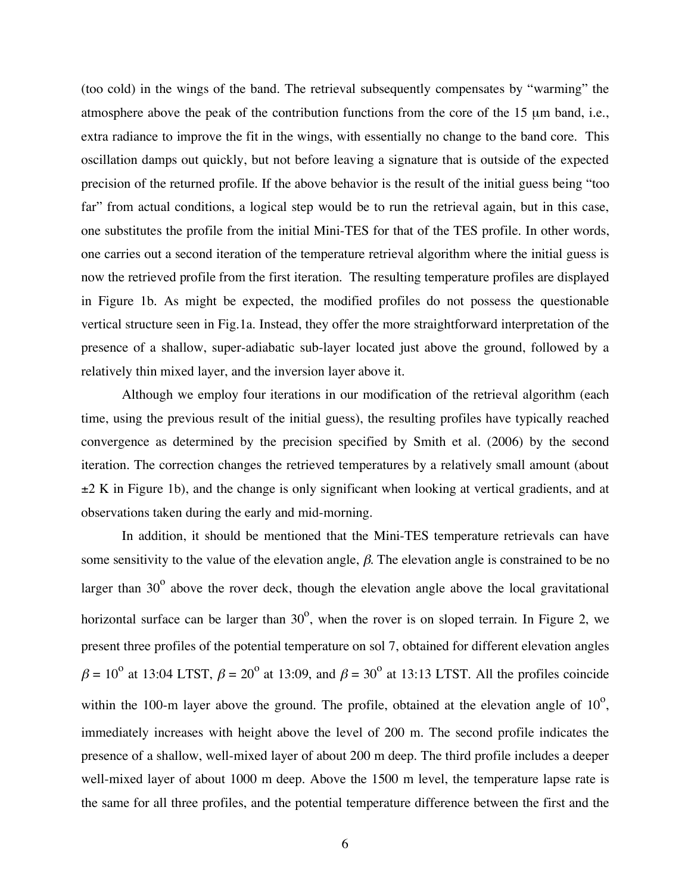(too cold) in the wings of the band. The retrieval subsequently compensates by "warming" the atmosphere above the peak of the contribution functions from the core of the 15 µm band, i.e., extra radiance to improve the fit in the wings, with essentially no change to the band core. This oscillation damps out quickly, but not before leaving a signature that is outside of the expected precision of the returned profile. If the above behavior is the result of the initial guess being "too far" from actual conditions, a logical step would be to run the retrieval again, but in this case, one substitutes the profile from the initial Mini-TES for that of the TES profile. In other words, one carries out a second iteration of the temperature retrieval algorithm where the initial guess is now the retrieved profile from the first iteration. The resulting temperature profiles are displayed in Figure 1b. As might be expected, the modified profiles do not possess the questionable vertical structure seen in Fig.1a. Instead, they offer the more straightforward interpretation of the presence of a shallow, super-adiabatic sub-layer located just above the ground, followed by a relatively thin mixed layer, and the inversion layer above it.

Although we employ four iterations in our modification of the retrieval algorithm (each time, using the previous result of the initial guess), the resulting profiles have typically reached convergence as determined by the precision specified by Smith et al. (2006) by the second iteration. The correction changes the retrieved temperatures by a relatively small amount (about  $\pm 2$  K in Figure 1b), and the change is only significant when looking at vertical gradients, and at observations taken during the early and mid-morning.

In addition, it should be mentioned that the Mini-TES temperature retrievals can have some sensitivity to the value of the elevation angle,  $\beta$ . The elevation angle is constrained to be no larger than  $30^{\circ}$  above the rover deck, though the elevation angle above the local gravitational horizontal surface can be larger than  $30^{\circ}$ , when the rover is on sloped terrain. In Figure 2, we present three profiles of the potential temperature on sol 7, obtained for different elevation angles  $\beta = 10^{\circ}$  at 13:04 LTST,  $\beta = 20^{\circ}$  at 13:09, and  $\beta = 30^{\circ}$  at 13:13 LTST. All the profiles coincide within the 100-m layer above the ground. The profile, obtained at the elevation angle of  $10^{\circ}$ , immediately increases with height above the level of 200 m. The second profile indicates the presence of a shallow, well-mixed layer of about 200 m deep. The third profile includes a deeper well-mixed layer of about 1000 m deep. Above the 1500 m level, the temperature lapse rate is the same for all three profiles, and the potential temperature difference between the first and the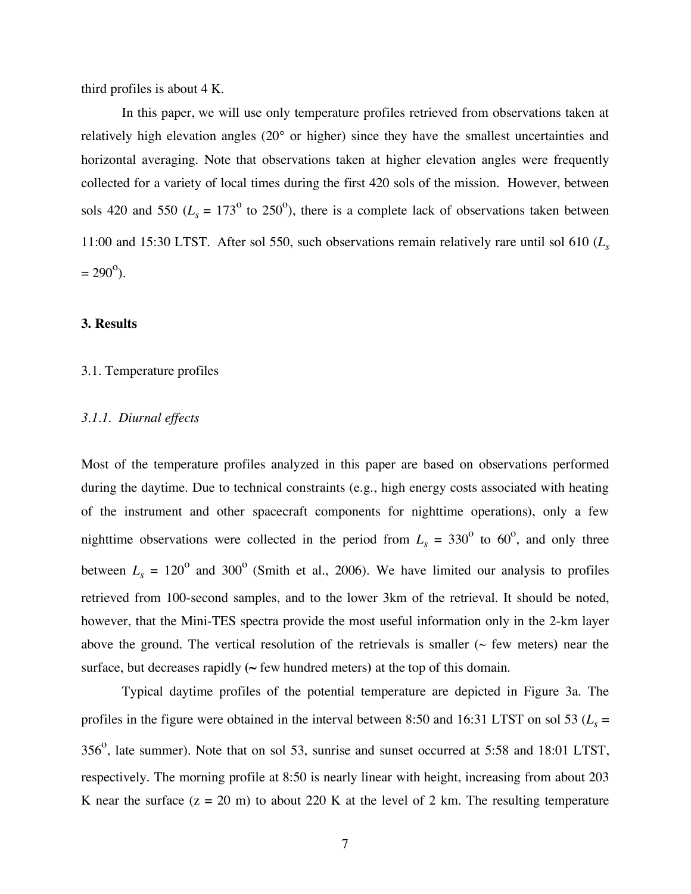third profiles is about 4 K.

In this paper, we will use only temperature profiles retrieved from observations taken at relatively high elevation angles (20° or higher) since they have the smallest uncertainties and horizontal averaging. Note that observations taken at higher elevation angles were frequently collected for a variety of local times during the first 420 sols of the mission. However, between sols 420 and 550 ( $L_s = 173^\circ$  to 250°), there is a complete lack of observations taken between 11:00 and 15:30 LTST. After sol 550, such observations remain relatively rare until sol 610 (*Ls*  $= 290^{\circ}$ ).

## **3. Results**

#### 3.1. Temperature profiles

## *3.1.1. Diurnal effects*

Most of the temperature profiles analyzed in this paper are based on observations performed during the daytime. Due to technical constraints (e.g., high energy costs associated with heating of the instrument and other spacecraft components for nighttime operations), only a few nighttime observations were collected in the period from  $L<sub>s</sub> = 330<sup>o</sup>$  to 60<sup>o</sup>, and only three between  $L<sub>s</sub> = 120<sup>o</sup>$  and 300<sup>o</sup> (Smith et al., 2006). We have limited our analysis to profiles retrieved from 100-second samples, and to the lower 3km of the retrieval. It should be noted, however, that the Mini-TES spectra provide the most useful information only in the 2-km layer above the ground. The vertical resolution of the retrievals is smaller ( $\sim$  few meters) near the surface, but decreases rapidly  $({\sim}$  few hundred meters) at the top of this domain.

Typical daytime profiles of the potential temperature are depicted in Figure 3a. The profiles in the figure were obtained in the interval between 8:50 and 16:31 LTST on sol 53 ( $L<sub>s</sub>$  =  $356^\circ$ , late summer). Note that on sol 53, sunrise and sunset occurred at 5:58 and 18:01 LTST, respectively. The morning profile at 8:50 is nearly linear with height, increasing from about 203 K near the surface  $(z = 20 \text{ m})$  to about 220 K at the level of 2 km. The resulting temperature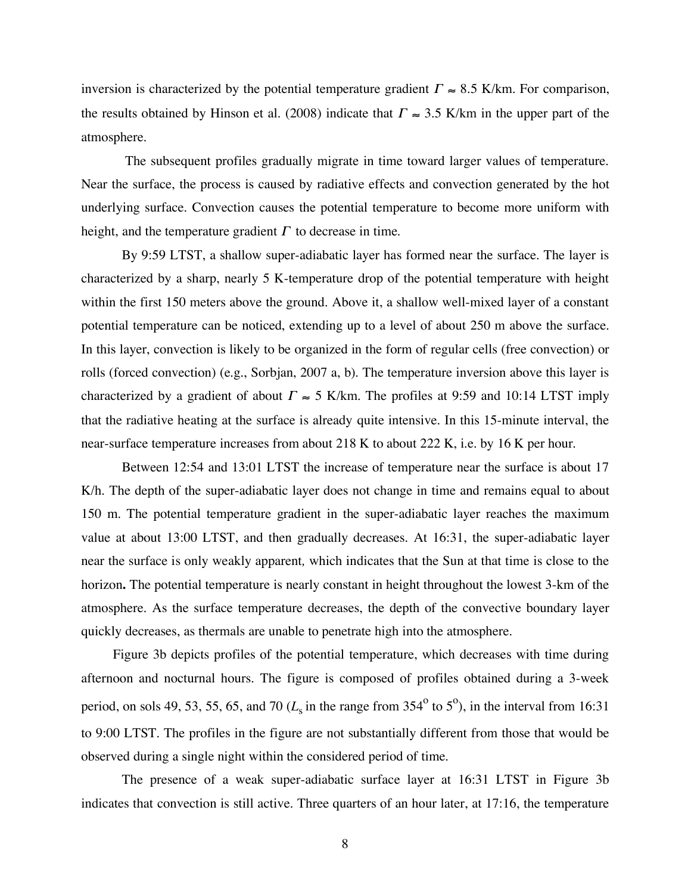inversion is characterized by the potential temperature gradient  $\Gamma \approx 8.5$  K/km. For comparison, the results obtained by Hinson et al. (2008) indicate that  $\Gamma \approx 3.5$  K/km in the upper part of the atmosphere.

! The subsequent profiles gradually migrate in time toward larger values of temperature. Near the surface, the process is caused by radiative effects and convection generated by the hot underlying surface. Convection causes the potential temperature to become more uniform with height, and the temperature gradient  $\Gamma$  to decrease in time.

By 9:59 LTST, a shallow super-adiabatic layer has formed near the surface. The layer is characterized by a sharp, nearly 5 K-temperature drop of the potential temperature with height within the first 150 meters above the ground. Above it, a shallow well-mixed layer of a constant potential temperature can be noticed, extending up to a level of about 250 m above the surface. In this layer, convection is likely to be organized in the form of regular cells (free convection) or rolls (forced convection) (e.g., Sorbjan, 2007 a, b). The temperature inversion above this layer is characterized by a gradient of about  $\Gamma \approx 5$  K/km. The profiles at 9:59 and 10:14 LTST imply ! near-surface temperature increases from about 218 K to about 222 K, i.e. by 16 K per hour. that the radiative heating at the surface is already quite intensive. In this 15-minute interval, the

Between 12:54 and 13:01 LTST the increase of temperature near the surface is about 17 K/h. The depth of the super-adiabatic layer does not change in time and remains equal to about 150 m. The potential temperature gradient in the super-adiabatic layer reaches the maximum value at about 13:00 LTST, and then gradually decreases. At 16:31, the super-adiabatic layer near the surface is only weakly apparent*,* which indicates that the Sun at that time is close to the horizon**.** The potential temperature is nearly constant in height throughout the lowest 3-km of the atmosphere. As the surface temperature decreases, the depth of the convective boundary layer quickly decreases, as thermals are unable to penetrate high into the atmosphere.

Figure 3b depicts profiles of the potential temperature, which decreases with time during afternoon and nocturnal hours. The figure is composed of profiles obtained during a 3-week period, on sols 49, 53, 55, 65, and 70 ( $L_s$  in the range from 354<sup>°</sup> to 5<sup>°</sup>), in the interval from 16:31 to 9:00 LTST. The profiles in the figure are not substantially different from those that would be observed during a single night within the considered period of time.

The presence of a weak super-adiabatic surface layer at 16:31 LTST in Figure 3b indicates that convection is still active. Three quarters of an hour later, at 17:16, the temperature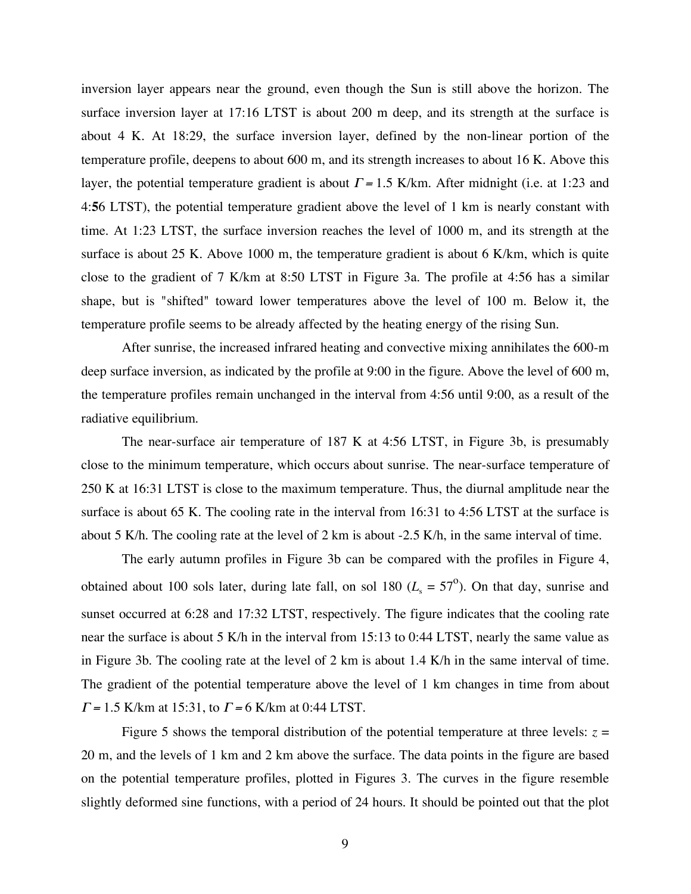inversion layer appears near the ground, even though the Sun is still above the horizon. The surface inversion layer at 17:16 LTST is about 200 m deep, and its strength at the surface is about 4 K. At 18:29, the surface inversion layer, defined by the non-linear portion of the temperature profile, deepens to about 600 m, and its strength increases to about 16 K. Above this layer, the potential temperature gradient is about  $\Gamma = 1.5$  K/km. After midnight (i.e. at 1:23 and 4:**5**6 LTST), the potential temperature gradient above the level of 1 km is nearly constant with time. At 1:23 LTST, the surface inversion reaches the level of 1000 m, and its strength at the surface is about 25 K. Above 1000 m, the temperature gradient is about 6 K/km, which is quite close to the gradient of 7 K/km at 8:50 LTST in Figure 3a. The profile at 4:56 has a similar shape, but is "shifted" toward lower temperatures above the level of 100 m. Below it, the temperature profile seems to be already affected by the heating energy of the rising Sun.

After sunrise, the increased infrared heating and convective mixing annihilates the 600-m deep surface inversion, as indicated by the profile at 9:00 in the figure. Above the level of 600 m, the temperature profiles remain unchanged in the interval from 4:56 until 9:00, as a result of the radiative equilibrium.

The near-surface air temperature of 187 K at 4:56 LTST, in Figure 3b, is presumably close to the minimum temperature, which occurs about sunrise. The near-surface temperature of 250 K at 16:31 LTST is close to the maximum temperature. Thus, the diurnal amplitude near the surface is about 65 K. The cooling rate in the interval from 16:31 to 4:56 LTST at the surface is about 5 K/h. The cooling rate at the level of 2 km is about -2.5 K/h, in the same interval of time.

The early autumn profiles in Figure 3b can be compared with the profiles in Figure 4, obtained about 100 sols later, during late fall, on sol 180 ( $L_s = 57^{\circ}$ ). On that day, sunrise and sunset occurred at 6:28 and 17:32 LTST, respectively. The figure indicates that the cooling rate near the surface is about 5 K/h in the interval from 15:13 to 0:44 LTST, nearly the same value as in Figure 3b. The cooling rate at the level of 2 km is about 1.4 K/h in the same interval of time. The gradient of the potential temperature above the level of 1 km changes in time from about  $\Gamma$  = 1.5 K/km at 15:31, to  $\Gamma$  = 6 K/km at 0:44 LTST.

Figure 5 shows the temporal distribution of the potential temperature at three levels:  $z =$ 20 m, and the levels of 1 km and 2 km above the surface. The data points in the figure are based on the potential temperature profiles, plotted in Figures 3. The curves in the figure resemble slightly deformed sine functions, with a period of 24 hours. It should be pointed out that the plot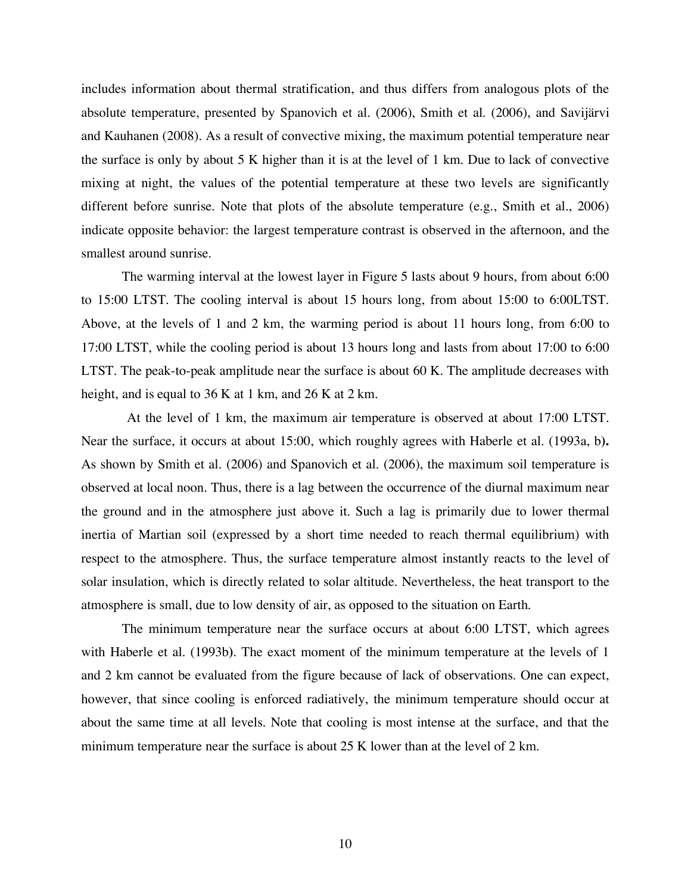includes information about thermal stratification, and thus differs from analogous plots of the absolute temperature, presented by Spanovich et al. (2006), Smith et al. (2006), and Savijärvi and Kauhanen (2008). As a result of convective mixing, the maximum potential temperature near the surface is only by about 5 K higher than it is at the level of 1 km. Due to lack of convective mixing at night, the values of the potential temperature at these two levels are significantly different before sunrise. Note that plots of the absolute temperature (e.g., Smith et al., 2006) indicate opposite behavior: the largest temperature contrast is observed in the afternoon, and the smallest around sunrise.

The warming interval at the lowest layer in Figure 5 lasts about 9 hours, from about 6:00 to 15:00 LTST. The cooling interval is about 15 hours long, from about 15:00 to 6:00LTST. Above, at the levels of 1 and 2 km, the warming period is about 11 hours long, from 6:00 to 17:00 LTST, while the cooling period is about 13 hours long and lasts from about 17:00 to 6:00 LTST. The peak-to-peak amplitude near the surface is about 60 K. The amplitude decreases with height, and is equal to 36 K at 1 km, and 26 K at 2 km.

At the level of 1 km, the maximum air temperature is observed at about 17:00 LTST. Near the surface, it occurs at about 15:00, which roughly agrees with Haberle et al. (1993a, b**).** As shown by Smith et al. (2006) and Spanovich et al. (2006), the maximum soil temperature is observed at local noon. Thus, there is a lag between the occurrence of the diurnal maximum near the ground and in the atmosphere just above it. Such a lag is primarily due to lower thermal inertia of Martian soil (expressed by a short time needed to reach thermal equilibrium) with respect to the atmosphere. Thus, the surface temperature almost instantly reacts to the level of solar insulation, which is directly related to solar altitude. Nevertheless, the heat transport to the atmosphere is small, due to low density of air, as opposed to the situation on Earth.

The minimum temperature near the surface occurs at about 6:00 LTST, which agrees with Haberle et al. (1993b**)**. The exact moment of the minimum temperature at the levels of 1 and 2 km cannot be evaluated from the figure because of lack of observations. One can expect, however, that since cooling is enforced radiatively, the minimum temperature should occur at about the same time at all levels. Note that cooling is most intense at the surface, and that the minimum temperature near the surface is about 25 K lower than at the level of 2 km.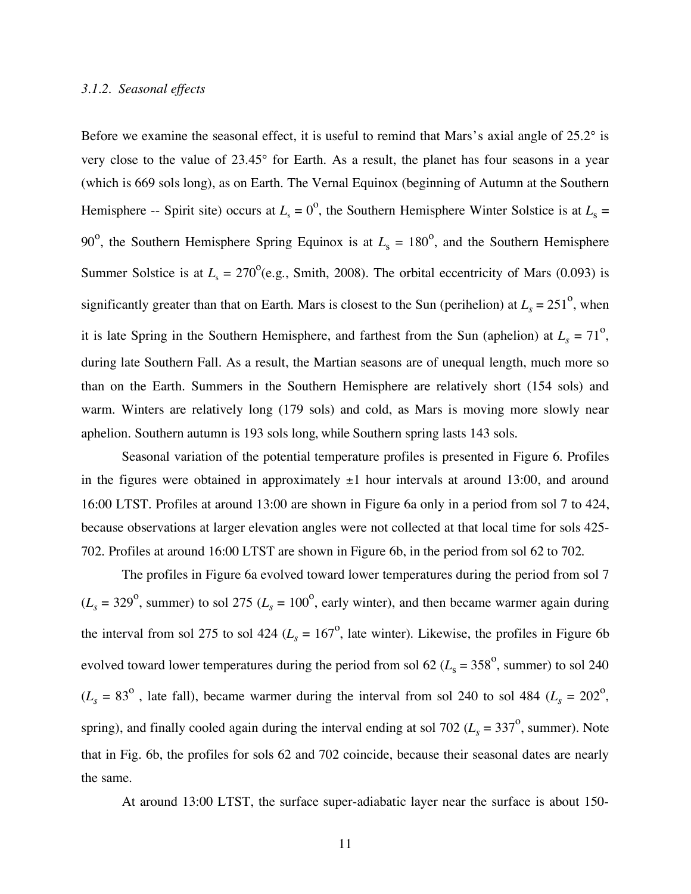## *3.1.2. Seasonal effects*

Before we examine the seasonal effect, it is useful to remind that Mars's axial angle of 25.2° is very close to the value of 23.45° for Earth. As a result, the planet has four seasons in a year (which is 669 sols long), as on Earth. The Vernal Equinox (beginning of Autumn at the Southern Hemisphere -- Spirit site) occurs at  $L<sub>s</sub> = 0^{\circ}$ , the Southern Hemisphere Winter Solstice is at  $L<sub>s</sub> =$ 90<sup>o</sup>, the Southern Hemisphere Spring Equinox is at  $L_s = 180^\circ$ , and the Southern Hemisphere Summer Solstice is at  $L_s = 270^\circ$  (e.g., Smith, 2008). The orbital eccentricity of Mars (0.093) is significantly greater than that on Earth. Mars is closest to the Sun (perihelion) at  $L_s = 251^\circ$ , when it is late Spring in the Southern Hemisphere, and farthest from the Sun (aphelion) at  $L_s = 71^\circ$ , during late Southern Fall. As a result, the Martian seasons are of unequal length, much more so than on the Earth. Summers in the Southern Hemisphere are relatively short (154 sols) and warm. Winters are relatively long (179 sols) and cold, as Mars is moving more slowly near aphelion. Southern autumn is 193 sols long, while Southern spring lasts 143 sols.

Seasonal variation of the potential temperature profiles is presented in Figure 6. Profiles in the figures were obtained in approximately  $\pm 1$  hour intervals at around 13:00, and around 16:00 LTST. Profiles at around 13:00 are shown in Figure 6a only in a period from sol 7 to 424, because observations at larger elevation angles were not collected at that local time for sols 425- 702. Profiles at around 16:00 LTST are shown in Figure 6b, in the period from sol 62 to 702.

The profiles in Figure 6a evolved toward lower temperatures during the period from sol 7  $(L_s = 329^\circ)$ , summer) to sol 275 ( $L_s = 100^\circ$ , early winter), and then became warmer again during the interval from sol 275 to sol 424 ( $L_s = 167^\circ$ , late winter). Likewise, the profiles in Figure 6b evolved toward lower temperatures during the period from sol  $62$  ( $L_s = 358^\circ$ , summer) to sol 240  $(L_s = 83^\circ)$ , late fall), became warmer during the interval from sol 240 to sol 484 ( $L_s = 202^\circ$ ), spring), and finally cooled again during the interval ending at sol 702 ( $L_s = 337^\circ$ , summer). Note that in Fig. 6b, the profiles for sols 62 and 702 coincide, because their seasonal dates are nearly the same.

At around 13:00 LTST, the surface super-adiabatic layer near the surface is about 150-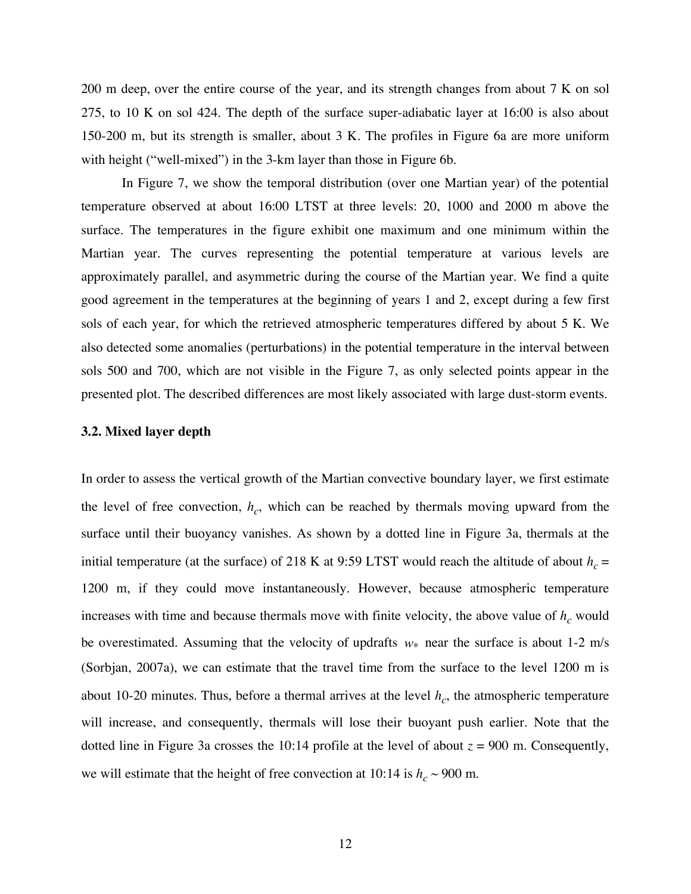200 m deep, over the entire course of the year, and its strength changes from about 7 K on sol 275, to 10 K on sol 424. The depth of the surface super-adiabatic layer at 16:00 is also about 150-200 m, but its strength is smaller, about 3 K. The profiles in Figure 6a are more uniform with height ("well-mixed") in the 3-km layer than those in Figure 6b.

In Figure 7, we show the temporal distribution (over one Martian year) of the potential temperature observed at about 16:00 LTST at three levels: 20, 1000 and 2000 m above the surface. The temperatures in the figure exhibit one maximum and one minimum within the Martian year. The curves representing the potential temperature at various levels are approximately parallel, and asymmetric during the course of the Martian year. We find a quite good agreement in the temperatures at the beginning of years 1 and 2, except during a few first sols of each year, for which the retrieved atmospheric temperatures differed by about 5 K. We also detected some anomalies (perturbations) in the potential temperature in the interval between sols 500 and 700, which are not visible in the Figure 7, as only selected points appear in the presented plot. The described differences are most likely associated with large dust-storm events.

#### **3.2. Mixed layer depth**

In order to assess the vertical growth of the Martian convective boundary layer, we first estimate the level of free convection,  $h_c$ , which can be reached by thermals moving upward from the surface until their buoyancy vanishes. As shown by a dotted line in Figure 3a, thermals at the initial temperature (at the surface) of 218 K at 9:59 LTST would reach the altitude of about  $h_c$  = 1200 m, if they could move instantaneously. However, because atmospheric temperature increases with time and because thermals move with finite velocity, the above value of  $h<sub>c</sub>$  would be overestimated. Assuming that the velocity of updrafts *w\** near the surface is about 1-2 m/s about 10-20 minutes. Thus, before a thermal arrives at the level  $h_c$ , the atmospheric temperature (Sorbjan, 2007a), we can estimate that the travel time from the surface to the level 1200 m is will increase, and consequently, thermals will lose their buoyant push earlier. Note that the dotted line in Figure 3a crosses the 10:14 profile at the level of about  $z = 900$  m. Consequently, we will estimate that the height of free convection at 10:14 is  $h_c \sim 900$  m.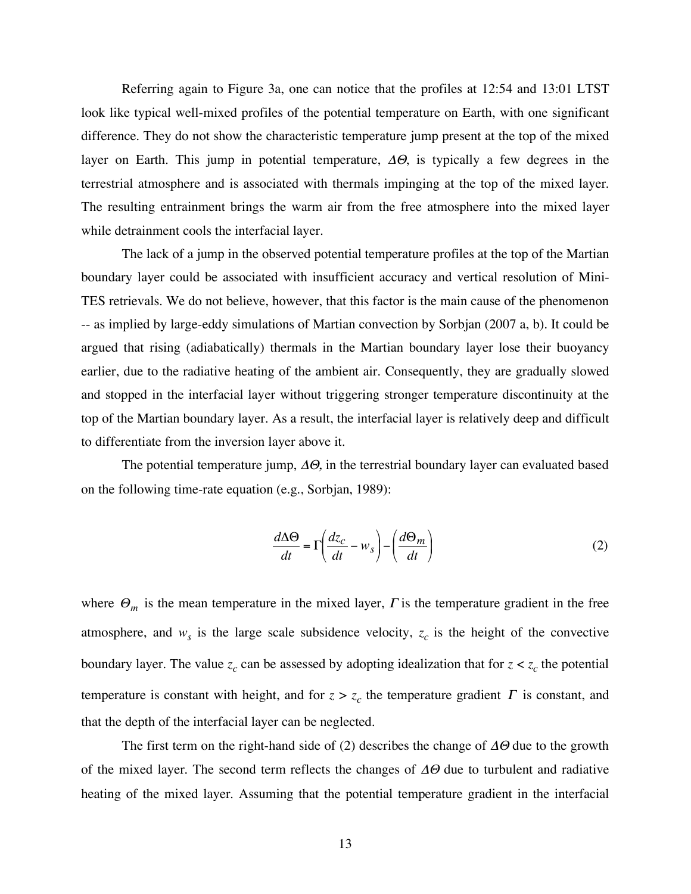Referring again to Figure 3a, one can notice that the profiles at 12:54 and 13:01 LTST look like typical well-mixed profiles of the potential temperature on Earth, with one significant difference. They do not show the characteristic temperature jump present at the top of the mixed layer on Earth. This jump in potential temperature,  $\Delta\Theta$ , is typically a few degrees in the terrestrial atmosphere and is associated with thermals impinging at the top of the mixed layer. The resulting entrainment brings the warm air from the free atmosphere into the mixed layer while detrainment cools the interfacial layer.

The lack of a jump in the observed potential temperature profiles at the top of the Martian boundary layer could be associated with insufficient accuracy and vertical resolution of Mini-TES retrievals. We do not believe, however, that this factor is the main cause of the phenomenon -- as implied by large-eddy simulations of Martian convection by Sorbjan (2007 a, b). It could be argued that rising (adiabatically) thermals in the Martian boundary layer lose their buoyancy earlier, due to the radiative heating of the ambient air. Consequently, they are gradually slowed and stopped in the interfacial layer without triggering stronger temperature discontinuity at the top of the Martian boundary layer. As a result, the interfacial layer is relatively deep and difficult to differentiate from the inversion layer above it.

The potential temperature jump,  $\Delta\Theta$ , in the terrestrial boundary layer can evaluated based on the following time-rate equation (e.g., Sorbjan, 1989):

$$
\frac{d\Delta\Theta}{dt} = \Gamma\left(\frac{dz_c}{dt} - w_s\right) - \left(\frac{d\Theta_m}{dt}\right)
$$
\n(2)

where  $\Theta_m$  is the mean temperature in the mixed layer,  $\Gamma$  is the temperature gradient in the free atmosphere, and  $w_s$  is the large scale subsidence velocity,  $z_c$  is the height of the convective boundary layer. The value  $z_c$  can be assessed by adopting idealization that for  $z < z_c$  the potential temperature is constant with height, and for  $z > z_c$  the temperature gradient  $\Gamma$  is constant, and that the depth of the interfacial layer can be neglected.

The first term on the right-hand side of (2) describes the change of  $\Delta\Theta$  due to the growth of the mixed layer. The second term reflects the changes of  $\Delta\Theta$  due to turbulent and radiative heating of the mixed layer. Assuming that the potential temperature gradient in the interfacial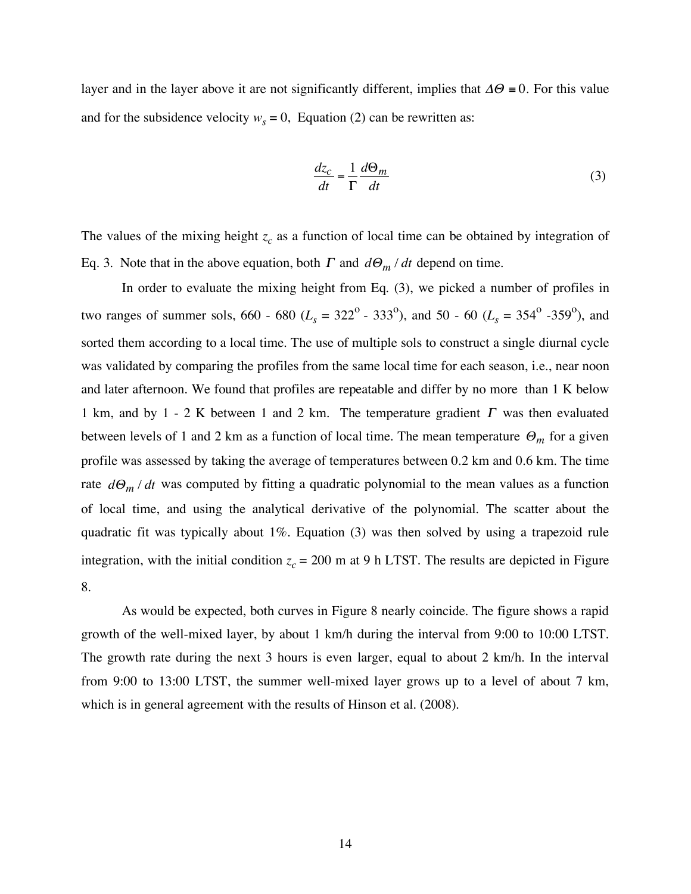layer and in the layer above it are not significantly different, implies that  $\Delta\Theta = 0$ . For this value and for the subsidence velocity  $w_s = 0$ , Equation (2) can be rewritten as:

$$
\frac{dz_c}{dt} = \frac{1}{\Gamma} \frac{d\Theta_m}{dt} \tag{3}
$$

The values of the mixing height  $z_c$  as a function of local time can be obtained by integration of Eq. 3. Note that in the above equation, both  $\Gamma$  and  $d\Theta_m/dt$  depend on time.

two ranges of summer sols, 660 - 680 ( $L_s = 322^\circ$  - 333<sup>o</sup>), and 50 - 60 ( $L_s = 354^\circ$  -359<sup>o</sup>), and In order to evaluate the mixing height from Eq. (3), we picked a number of profiles in sorted them according to a local time. The use of multiple sols to construct a single diurnal cycle was validated by comparing the profiles from the same local time for each season, i.e., near noon and later afternoon. We found that profiles are repeatable and differ by no more than 1 K below 1 km, and by 1 - 2 K between 1 and 2 km. The temperature gradient  $\Gamma$  was then evaluated ! profile was assessed by taking the average of temperatures between 0.2 km and 0.6 km. The time between levels of 1 and 2 km as a function of local time. The mean temperature  $\Theta_m$  for a given rate  $d\Theta_m/dt$  was computed by fitting a quadratic polynomial to the mean values as a function of local time, and using the analytical derivative of the polynomial. The scatter about the quadratic fit was typically about 1%. Equation (3) was then solved by using a trapezoid rule integration, with the initial condition  $z_c = 200$  m at 9 h LTST. The results are depicted in Figure 8.

As would be expected, both curves in Figure 8 nearly coincide. The figure shows a rapid growth of the well-mixed layer, by about 1 km/h during the interval from 9:00 to 10:00 LTST. The growth rate during the next 3 hours is even larger, equal to about 2 km/h. In the interval from 9:00 to 13:00 LTST, the summer well-mixed layer grows up to a level of about 7 km, which is in general agreement with the results of Hinson et al. (2008).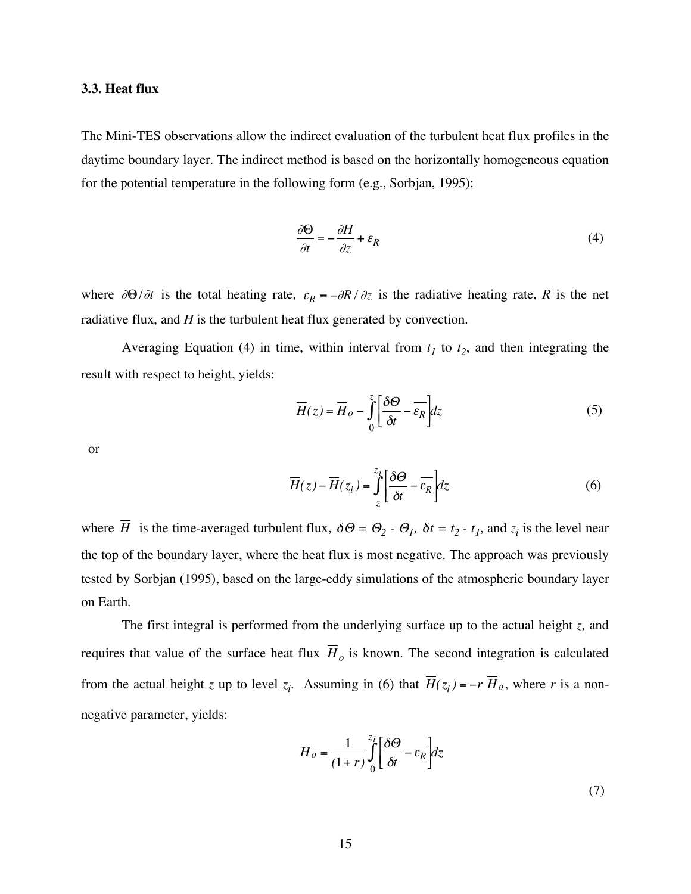### **3.3. Heat flux**

The Mini-TES observations allow the indirect evaluation of the turbulent heat flux profiles in the daytime boundary layer. The indirect method is based on the horizontally homogeneous equation for the potential temperature in the following form (e.g., Sorbjan, 1995):

$$
\frac{\partial \Theta}{\partial t} = -\frac{\partial H}{\partial z} + \varepsilon_R \tag{4}
$$

where  $\partial\Theta/\partial t$  is the total heating rate,  $\varepsilon_R = -\partial R/\partial z$  is the radiative heating rate, R is the net radiative flux, and *H* is the turbulent heat flux generated by convection.

Averaging Equation (4) in time, within interval from  $t_1$  to  $t_2$ , and then integrating the result with respect to height, yields:

$$
\overline{H}(z) = \overline{H}_o - \int_0^z \left[ \frac{\delta \Theta}{\delta t} - \overline{\varepsilon_R} \right] dz \tag{5}
$$

or

$$
\overline{H}(z) - \overline{H}(z_i) = \int_{z}^{z_i} \left[ \frac{\delta \Theta}{\delta t} - \overline{\epsilon_R} \right] dz
$$
 (6)

the top of the boundary layer, where the heat flux is most negative. The approach was previously where *H* is the time-averaged turbulent flux,  $\delta\Theta = \Theta_2 - \Theta_1$ ,  $\delta t = t_2 - t_1$ , and  $z_i$  is the level near tested by Sorbjan (1995), based on the large-eddy simulations of the atmospheric boundary layer on Earth.

The first integral is performed from the underlying surface up to the actual height *z,* and requires that value of the surface heat flux  $H<sub>o</sub>$  is known. The second integration is calculated from the actual height *z* up to level  $z_i$ . Assuming in (6) that  $H(z_i) = -r H_o$ , where *r* is a nonnegative parameter, yields:

$$
\overline{H}_o = \frac{1}{(1+r)} \int_0^{z_i} \left[ \frac{\delta \Theta}{\delta t} - \overline{\varepsilon_R} \right] dz \tag{7}
$$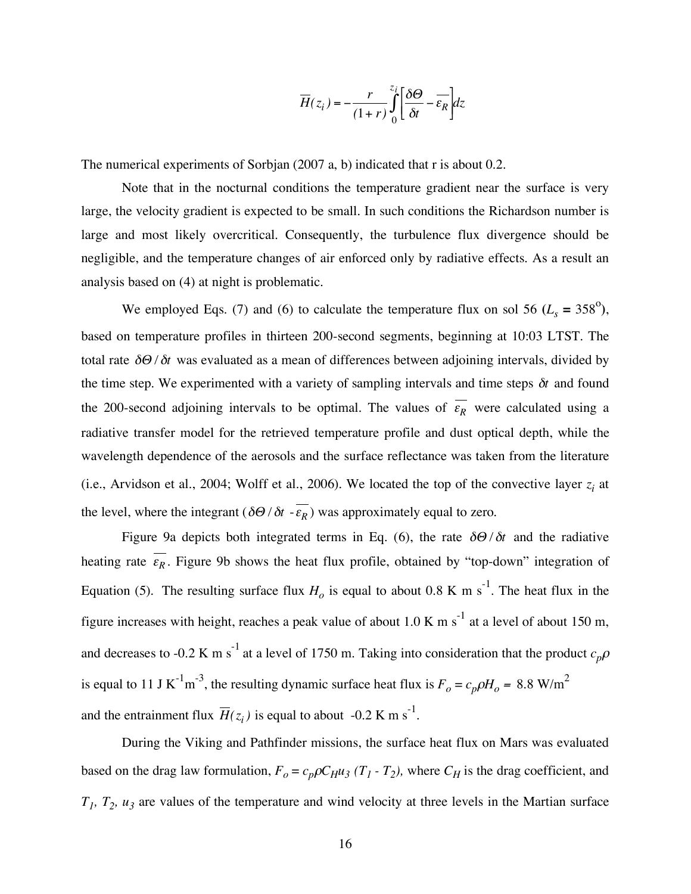$$
\overline{H}(z_i) = -\frac{r}{(1+r)} \int_0^{z_i} \left[ \frac{\delta \Theta}{\delta t} - \overline{\varepsilon_R} \right] dz
$$

The numerical experiments of Sorbjan (2007 a, b) indicated that r is about 0.2.

Note that in the nocturnal conditions the temperature gradient near the surface is very large, the velocity gradient is expected to be small. In such conditions the Richardson number is large and most likely overcritical. Consequently, the turbulence flux divergence should be negligible, and the temperature changes of air enforced only by radiative effects. As a result an analysis based on (4) at night is problematic.

We employed Eqs. (7) and (6) to calculate the temperature flux on sol 56 ( $L_s = 358^\circ$ ), based on temperature profiles in thirteen 200-second segments, beginning at 10:03 LTST. The total rate  $\delta\Theta/\delta t$  was evaluated as a mean of differences between adjoining intervals, divided by the 200-second adjoining intervals to be optimal. The values of  $\varepsilon_R$  were calculated using a the time step. We experimented with a variety of sampling intervals and time steps  $\delta t$  and found radiative transfer model for the retrieved temperature profile and dust optical depth, while the wavelength dependence of the aerosols and the surface reflectance was taken from the literature (i.e., Arvidson et al., 2004; Wolff et al., 2006). We located the top of the convective layer  $z_i$  at the level, where the integrant  $(\delta\Theta/\delta t - \varepsilon_R)$  was approximately equal to zero.

 $\mu$  to six Figure 9a depicts both integrated terms in Eq. (6), the rate  $\delta\Theta/\delta t$  and the radiative Equation (5). The resulting surface flux  $H_0$  is equal to about 0.8 K m s<sup>-1</sup>. The heat flux in the heating rate  $\varepsilon_R$ . Figure 9b shows the heat flux profile, obtained by "top-down" integration of figure increases with height, reaches a peak value of about 1.0 K m s<sup>-1</sup> at a level of about 150 m, and decreases to -0.2 K m s<sup>-1</sup> at a level of 1750 m. Taking into consideration that the product  $c_p \rho$ is equal to 11 J K<sup>-1</sup>m<sup>-3</sup>, the resulting dynamic surface heat flux is  $F_o = c_p \rho H_o = 8.8$  W/m<sup>2</sup> and the entrainment flux  $\overline{H}(z_i)$  is equal to about -0.2 K m s<sup>-1</sup>.

based on the drag law formulation,  $F_o = c_p \rho C_H u_3$  ( $T_1$  -  $T_2$ ), where  $C_H$  is the drag coefficient, and During the Viking and Pathfinder missions, the surface heat flux on Mars was evaluated  $T_1$ ,  $T_2$ ,  $u_3$  are values of the temperature and wind velocity at three levels in the Martian surface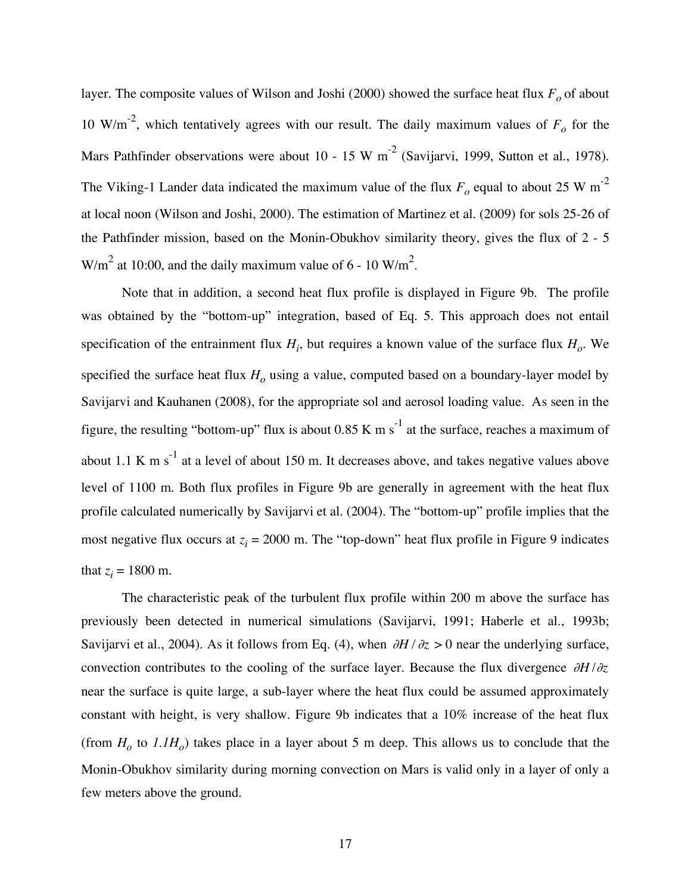layer. The composite values of Wilson and Joshi (2000) showed the surface heat flux  $F<sub>o</sub>$  of about 10 W/m<sup>-2</sup>, which tentatively agrees with our result. The daily maximum values of  $F<sub>o</sub>$  for the Mars Pathfinder observations were about 10 - 15 W m<sup>-2</sup> (Savijarvi, 1999, Sutton et al., 1978). The Viking-1 Lander data indicated the maximum value of the flux  $F<sub>o</sub>$  equal to about 25 W m<sup>-2</sup> at local noon (Wilson and Joshi, 2000). The estimation of Martinez et al. (2009) for sols 25-26 of the Pathfinder mission, based on the Monin-Obukhov similarity theory, gives the flux of 2 - 5  $W/m<sup>2</sup>$  at 10:00, and the daily maximum value of 6 - 10 W/m<sup>2</sup>.

Note that in addition, a second heat flux profile is displayed in Figure 9b. The profile was obtained by the "bottom-up" integration, based of Eq. 5. This approach does not entail specification of the entrainment flux  $H_i$ , but requires a known value of the surface flux  $H_o$ . We specified the surface heat flux  $H<sub>o</sub>$  using a value, computed based on a boundary-layer model by Savijarvi and Kauhanen (2008), for the appropriate sol and aerosol loading value. As seen in the figure, the resulting "bottom-up" flux is about 0.85 K m s<sup>-1</sup> at the surface, reaches a maximum of about 1.1 K m s<sup>-1</sup> at a level of about 150 m. It decreases above, and takes negative values above level of 1100 m. Both flux profiles in Figure 9b are generally in agreement with the heat flux profile calculated numerically by Savijarvi et al. (2004). The "bottom-up" profile implies that the most negative flux occurs at  $z_i = 2000$  m. The "top-down" heat flux profile in Figure 9 indicates that  $z_i = 1800$  m.

The characteristic peak of the turbulent flux profile within 200 m above the surface has previously been detected in numerical simulations (Savijarvi, 1991; Haberle et al., 1993b; Savijarvi et al., 2004). As it follows from Eq. (4), when  $\partial H / \partial z > 0$  near the underlying surface, convection contributes to the cooling of the surface layer. Because the flux divergence  $\partial H / \partial z$ ! near the surface is quite large, a sub-layer where the heat flux could be assumed approximately constant with height, is very shallow. Figure 9b indicates that a 10% increase of the heat flux (from  $H_0$  to  $1.1H_0$ ) takes place in a layer about 5 m deep. This allows us to conclude that the Monin-Obukhov similarity during morning convection on Mars is valid only in a layer of only a few meters above the ground.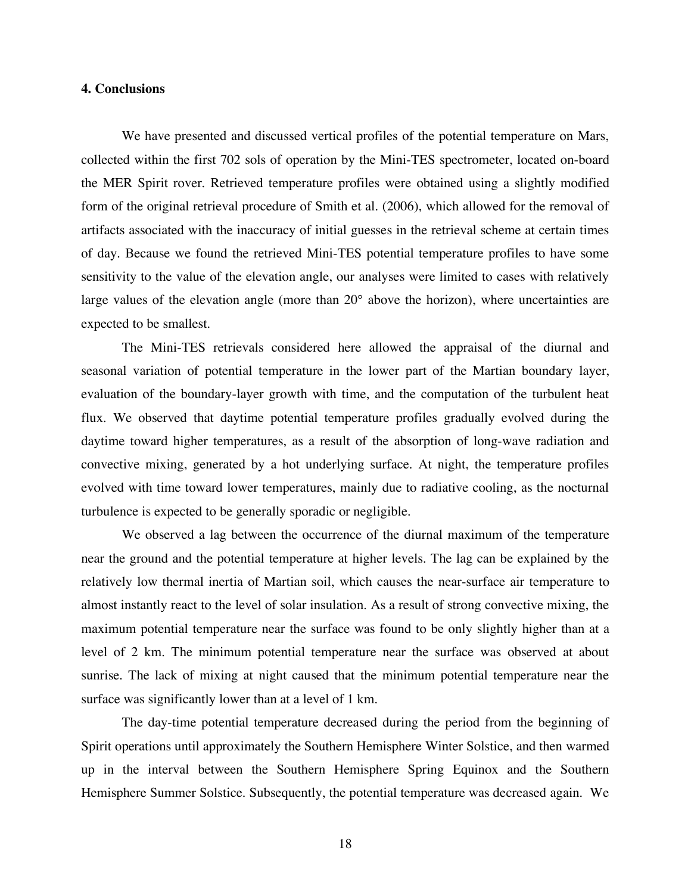## **4. Conclusions**

We have presented and discussed vertical profiles of the potential temperature on Mars, collected within the first 702 sols of operation by the Mini-TES spectrometer, located on-board the MER Spirit rover. Retrieved temperature profiles were obtained using a slightly modified form of the original retrieval procedure of Smith et al. (2006), which allowed for the removal of artifacts associated with the inaccuracy of initial guesses in the retrieval scheme at certain times of day. Because we found the retrieved Mini-TES potential temperature profiles to have some sensitivity to the value of the elevation angle, our analyses were limited to cases with relatively large values of the elevation angle (more than 20° above the horizon), where uncertainties are expected to be smallest.

The Mini-TES retrievals considered here allowed the appraisal of the diurnal and seasonal variation of potential temperature in the lower part of the Martian boundary layer, evaluation of the boundary-layer growth with time, and the computation of the turbulent heat flux. We observed that daytime potential temperature profiles gradually evolved during the daytime toward higher temperatures, as a result of the absorption of long-wave radiation and convective mixing, generated by a hot underlying surface. At night, the temperature profiles evolved with time toward lower temperatures, mainly due to radiative cooling, as the nocturnal turbulence is expected to be generally sporadic or negligible.

We observed a lag between the occurrence of the diurnal maximum of the temperature near the ground and the potential temperature at higher levels. The lag can be explained by the relatively low thermal inertia of Martian soil, which causes the near-surface air temperature to almost instantly react to the level of solar insulation. As a result of strong convective mixing, the maximum potential temperature near the surface was found to be only slightly higher than at a level of 2 km. The minimum potential temperature near the surface was observed at about sunrise. The lack of mixing at night caused that the minimum potential temperature near the surface was significantly lower than at a level of 1 km.

The day-time potential temperature decreased during the period from the beginning of Spirit operations until approximately the Southern Hemisphere Winter Solstice, and then warmed up in the interval between the Southern Hemisphere Spring Equinox and the Southern Hemisphere Summer Solstice. Subsequently, the potential temperature was decreased again. We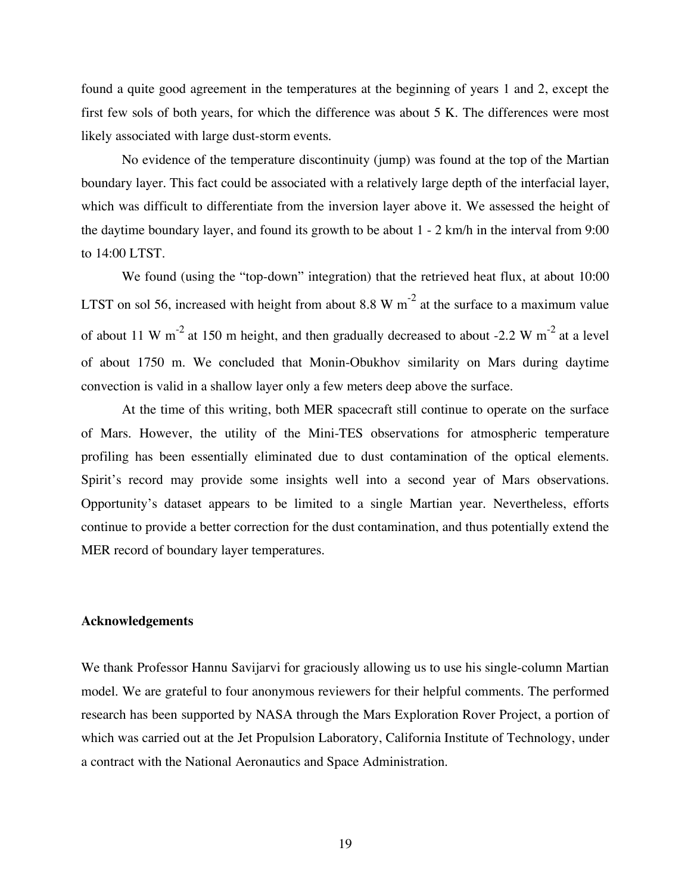found a quite good agreement in the temperatures at the beginning of years 1 and 2, except the first few sols of both years, for which the difference was about 5 K. The differences were most likely associated with large dust-storm events.

No evidence of the temperature discontinuity (jump) was found at the top of the Martian boundary layer. This fact could be associated with a relatively large depth of the interfacial layer, which was difficult to differentiate from the inversion layer above it. We assessed the height of the daytime boundary layer, and found its growth to be about 1 - 2 km/h in the interval from 9:00 to 14:00 LTST.

We found (using the "top-down" integration) that the retrieved heat flux, at about 10:00 LTST on sol 56, increased with height from about 8.8 W  $m^{-2}$  at the surface to a maximum value of about 11 W m<sup>-2</sup> at 150 m height, and then gradually decreased to about -2.2 W m<sup>-2</sup> at a level of about 1750 m. We concluded that Monin-Obukhov similarity on Mars during daytime convection is valid in a shallow layer only a few meters deep above the surface.

At the time of this writing, both MER spacecraft still continue to operate on the surface of Mars. However, the utility of the Mini-TES observations for atmospheric temperature profiling has been essentially eliminated due to dust contamination of the optical elements. Spirit's record may provide some insights well into a second year of Mars observations. Opportunity's dataset appears to be limited to a single Martian year. Nevertheless, efforts continue to provide a better correction for the dust contamination, and thus potentially extend the MER record of boundary layer temperatures.

## **Acknowledgements**

We thank Professor Hannu Savijarvi for graciously allowing us to use his single-column Martian model. We are grateful to four anonymous reviewers for their helpful comments. The performed research has been supported by NASA through the Mars Exploration Rover Project, a portion of which was carried out at the Jet Propulsion Laboratory, California Institute of Technology, under a contract with the National Aeronautics and Space Administration.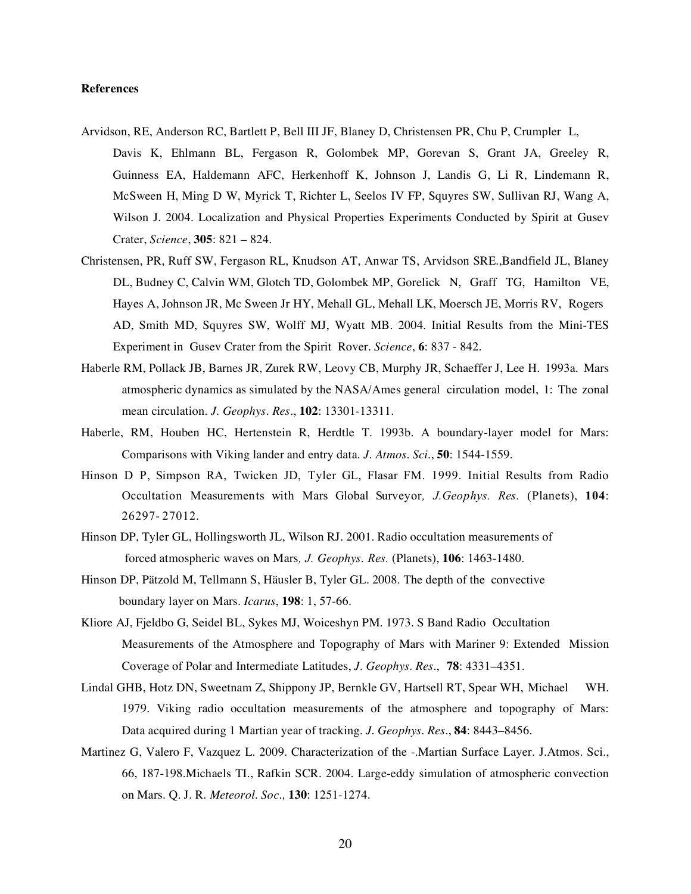#### **References**

- Arvidson, RE, Anderson RC, Bartlett P, Bell III JF, Blaney D, Christensen PR, Chu P, Crumpler L, Davis K, Ehlmann BL, Fergason R, Golombek MP, Gorevan S, Grant JA, Greeley R, Guinness EA, Haldemann AFC, Herkenhoff K, Johnson J, Landis G, Li R, Lindemann R, McSween H, Ming D W, Myrick T, Richter L, Seelos IV FP, Squyres SW, Sullivan RJ, Wang A, Wilson J. 2004. Localization and Physical Properties Experiments Conducted by Spirit at Gusev Crater, *Science*, **305**: 821 – 824.
- Christensen, PR, Ruff SW, Fergason RL, Knudson AT, Anwar TS, Arvidson SRE.,Bandfield JL, Blaney DL, Budney C, Calvin WM, Glotch TD, Golombek MP, Gorelick N, Graff TG, Hamilton VE, Hayes A, Johnson JR, Mc Sween Jr HY, Mehall GL, Mehall LK, Moersch JE, Morris RV, Rogers AD, Smith MD, Squyres SW, Wolff MJ, Wyatt MB. 2004. Initial Results from the Mini-TES Experiment in Gusev Crater from the Spirit Rover. *Science*, **6**: 837 - 842.
- Haberle RM, Pollack JB, Barnes JR, Zurek RW, Leovy CB, Murphy JR, Schaeffer J, Lee H. 1993a. Mars atmospheric dynamics as simulated by the NASA/Ames general circulation model, 1: The zonal mean circulation. *J. Geophys. Res*., **102**: 13301-13311.
- Haberle, RM, Houben HC, Hertenstein R, Herdtle T. 1993b. A boundary-layer model for Mars: Comparisons with Viking lander and entry data. *J. Atmos. Sci.*, **50**: 1544-1559.
- Hinson D P, Simpson RA, Twicken JD, Tyler GL, Flasar FM. 1999. Initial Results from Radio Occultation Measurements with Mars Global Surveyor*, J.Geophys. Res.* (Planets), **104**: 26297- 27012.
- Hinson DP, Tyler GL, Hollingsworth JL, Wilson RJ. 2001. Radio occultation measurements of forced atmospheric waves on Mars*, J. Geophys. Res.* (Planets), **106**: 1463-1480.
- Hinson DP, Pätzold M, Tellmann S, Häusler B, Tyler GL. 2008. The depth of the convective boundary layer on Mars. *Icarus*, **198**: 1, 57-66.
- Kliore AJ, Fjeldbo G, Seidel BL, Sykes MJ, Woiceshyn PM. 1973. S Band Radio Occultation Measurements of the Atmosphere and Topography of Mars with Mariner 9: Extended Mission Coverage of Polar and Intermediate Latitudes, *J. Geophys. Res.*, **78**: 4331–4351.
- Lindal GHB, Hotz DN, Sweetnam Z, Shippony JP, Bernkle GV, Hartsell RT, Spear WH, Michael WH. 1979. Viking radio occultation measurements of the atmosphere and topography of Mars: Data acquired during 1 Martian year of tracking. *J. Geophys. Res*., **84**: 8443–8456.
- Martinez G, Valero F, Vazquez L. 2009. Characterization of the -.Martian Surface Layer. J.Atmos. Sci., 66, 187-198.Michaels TI., Rafkin SCR. 2004. Large-eddy simulation of atmospheric convection on Mars. Q. J. R. *Meteorol. Soc.,* **130**: 1251-1274.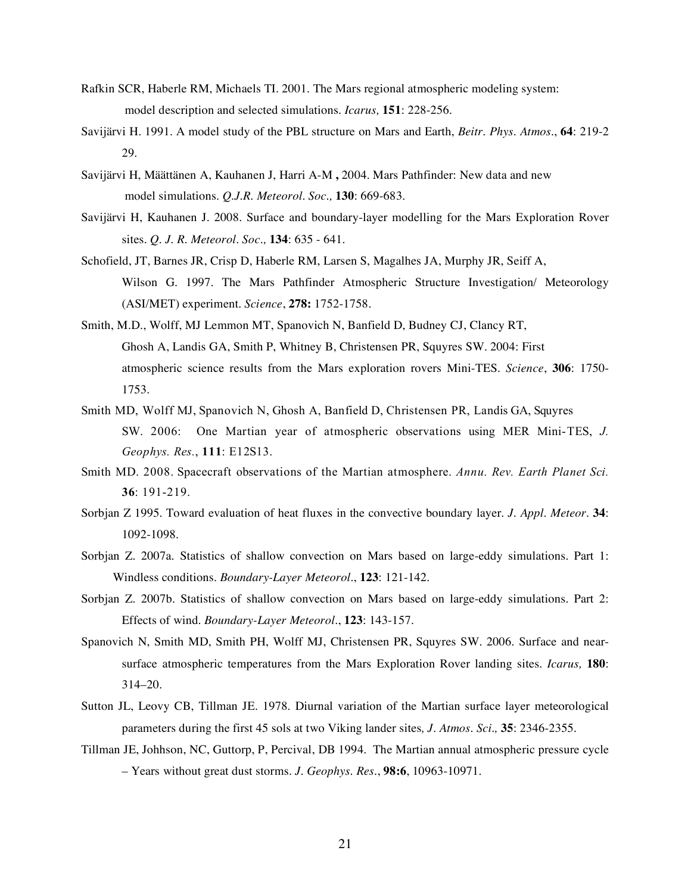- Rafkin SCR, Haberle RM, Michaels TI. 2001. The Mars regional atmospheric modeling system: model description and selected simulations. *Icarus,* **151**: 228-256.
- Savijärvi H. 1991. A model study of the PBL structure on Mars and Earth, *Beitr. Phys. Atmos*., **64**: 219-2 29.
- Savijärvi H, Määttänen A, Kauhanen J, Harri A-M **,** 2004. Mars Pathfinder: New data and new model simulations*. Q.J.R. Meteorol. Soc.,* **130**: 669-683.
- Savijärvi H, Kauhanen J. 2008. Surface and boundary-layer modelling for the Mars Exploration Rover sites*. Q. J. R. Meteorol. Soc.,* **134**: 635 - 641.
- Schofield, JT, Barnes JR, Crisp D, Haberle RM, Larsen S, Magalhes JA, Murphy JR, Seiff A, Wilson G. 1997. The Mars Pathfinder Atmospheric Structure Investigation/ Meteorology (ASI/MET) experiment. *Science*, **278:** 1752-1758.
- Smith, M.D., Wolff, MJ Lemmon MT, Spanovich N, Banfield D, Budney CJ, Clancy RT, Ghosh A, Landis GA, Smith P, Whitney B, Christensen PR, Squyres SW. 2004: First atmospheric science results from the Mars exploration rovers Mini-TES. *Science*, **306**: 1750- 1753.
- Smith MD, Wolff MJ, Spanovich N, Ghosh A, Banfield D, Christensen PR, Landis GA, Squyres SW. 2006: One Martian year of atmospheric observations using MER Mini-TES, *J. Geophys. Res.*, **111**: E12S13.
- Smith MD. 2008. Spacecraft observations of the Martian atmosphere. *Annu. Rev. Earth Planet Sci.* **36**: 191-219.
- Sorbjan Z 1995. Toward evaluation of heat fluxes in the convective boundary layer*. J. Appl. Meteor.* **34**: 1092-1098.
- Sorbjan Z. 2007a. Statistics of shallow convection on Mars based on large-eddy simulations. Part 1: Windless conditions*. Boundary-Layer Meteorol*., **123**: 121-142.
- Sorbjan Z. 2007b. Statistics of shallow convection on Mars based on large-eddy simulations. Part 2: Effects of wind. *Boundary-Layer Meteorol.*, **123**: 143-157.
- Spanovich N, Smith MD, Smith PH, Wolff MJ, Christensen PR, Squyres SW. 2006. Surface and nearsurface atmospheric temperatures from the Mars Exploration Rover landing sites. *Icarus,* **180**: 314–20.
- Sutton JL, Leovy CB, Tillman JE. 1978. Diurnal variation of the Martian surface layer meteorological parameters during the first 45 sols at two Viking lander sites*, J. Atmos. Sci.,* **35**: 2346-2355.
- Tillman JE, Johhson, NC, Guttorp, P, Percival, DB 1994. The Martian annual atmospheric pressure cycle – Years without great dust storms. *J. Geophys. Res.*, **98:6**, 10963-10971.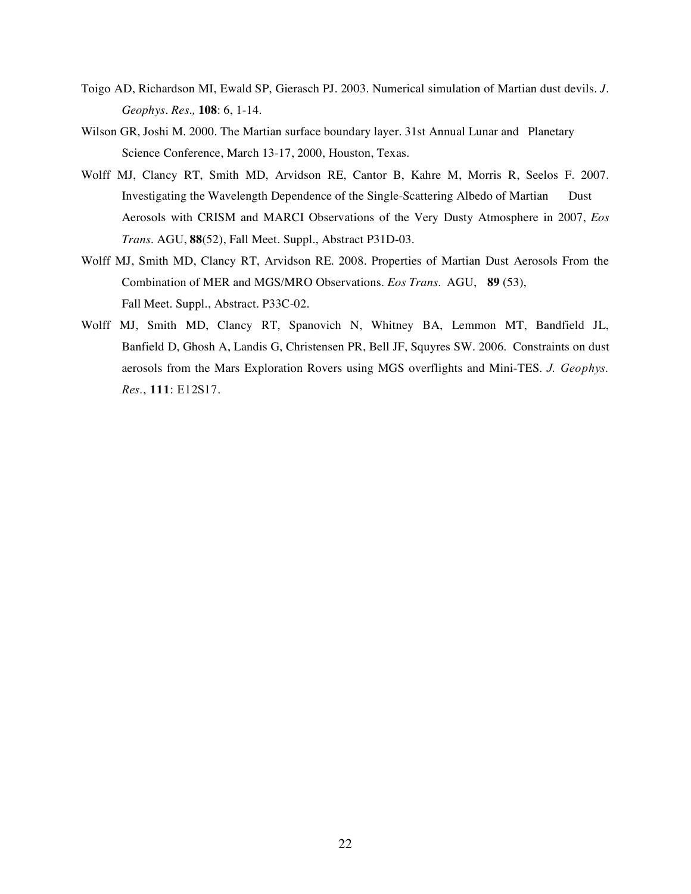- Toigo AD, Richardson MI, Ewald SP, Gierasch PJ. 2003. Numerical simulation of Martian dust devils. *J. Geophys. Res.,* **108**: 6, 1-14.
- Wilson GR, Joshi M. 2000. The Martian surface boundary layer. 31st Annual Lunar and Planetary Science Conference, March 13-17, 2000, Houston, Texas.
- Wolff MJ, Clancy RT, Smith MD, Arvidson RE, Cantor B, Kahre M, Morris R, Seelos F. 2007. Investigating the Wavelength Dependence of the Single-Scattering Albedo of Martian Dust Aerosols with CRISM and MARCI Observations of the Very Dusty Atmosphere in 2007, *Eos Trans*. AGU, **88**(52), Fall Meet. Suppl., Abstract P31D-03.
- Wolff MJ, Smith MD, Clancy RT, Arvidson RE. 2008. Properties of Martian Dust Aerosols From the Combination of MER and MGS/MRO Observations. *Eos Trans.* AGU, **89** (53), Fall Meet. Suppl., Abstract. P33C-02.
- Wolff MJ, Smith MD, Clancy RT, Spanovich N, Whitney BA, Lemmon MT, Bandfield JL, Banfield D, Ghosh A, Landis G, Christensen PR, Bell JF, Squyres SW. 2006. Constraints on dust aerosols from the Mars Exploration Rovers using MGS overflights and Mini-TES. *J. Geophys. Res.*, **111**: E12S17.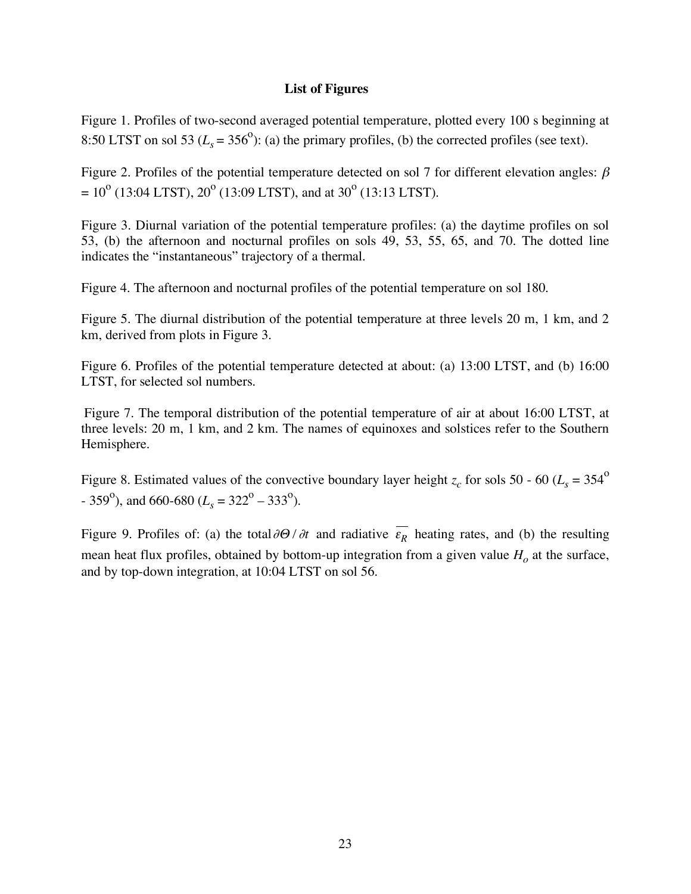# **List of Figures**

Figure 1. Profiles of two-second averaged potential temperature, plotted every 100 s beginning at 8:50 LTST on sol 53 ( $L_s = 356^\circ$ ): (a) the primary profiles, (b) the corrected profiles (see text).

Figure 2. Profiles of the potential temperature detected on sol 7 for different elevation angles:  $\beta$  $= 10^{o}$  (13:04 LTST),  $20^{o}$  (13:09 LTST), and at 30<sup>o</sup> (13:13 LTST).

Figure 3. Diurnal variation of the potential temperature profiles: (a) the daytime profiles on sol 53, (b) the afternoon and nocturnal profiles on sols 49, 53, 55, 65, and 70. The dotted line indicates the "instantaneous" trajectory of a thermal.

Figure 4. The afternoon and nocturnal profiles of the potential temperature on sol 180.

Figure 5. The diurnal distribution of the potential temperature at three levels 20 m, 1 km, and 2 km, derived from plots in Figure 3.

Figure 6. Profiles of the potential temperature detected at about: (a) 13:00 LTST, and (b) 16:00 LTST, for selected sol numbers.

Figure 7. The temporal distribution of the potential temperature of air at about 16:00 LTST, at three levels: 20 m, 1 km, and 2 km. The names of equinoxes and solstices refer to the Southern Hemisphere.

Figure 8. Estimated values of the convective boundary layer height  $z_c$  for sols 50 - 60 ( $L_s = 354^\circ$ )  $-359^\circ$ ), and 660-680 ( $L_s = 322^\circ - 333^\circ$ ).

Figure 9. Profiles of: (a) the total  $\partial\Theta/\partial t$  and radiative  $\varepsilon_R$  heating rates, and (b) the resulting mean heat flux profiles, obtained by bottom-up integration from a given value  $H_0$  at the surface, and by top-down integration, at 10:04 LTST on sol 56.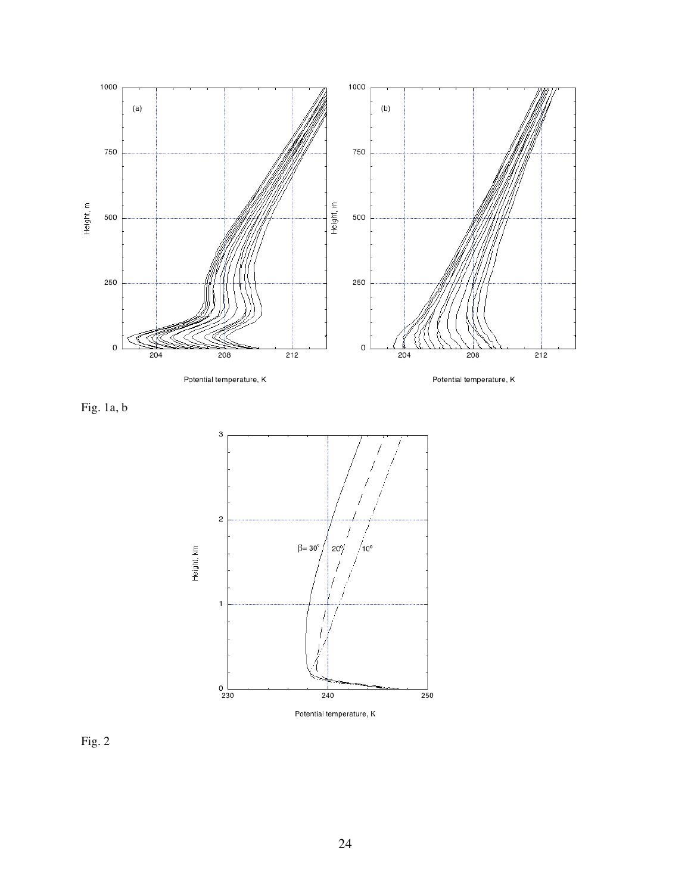

Fig. 1a, b



Fig. 2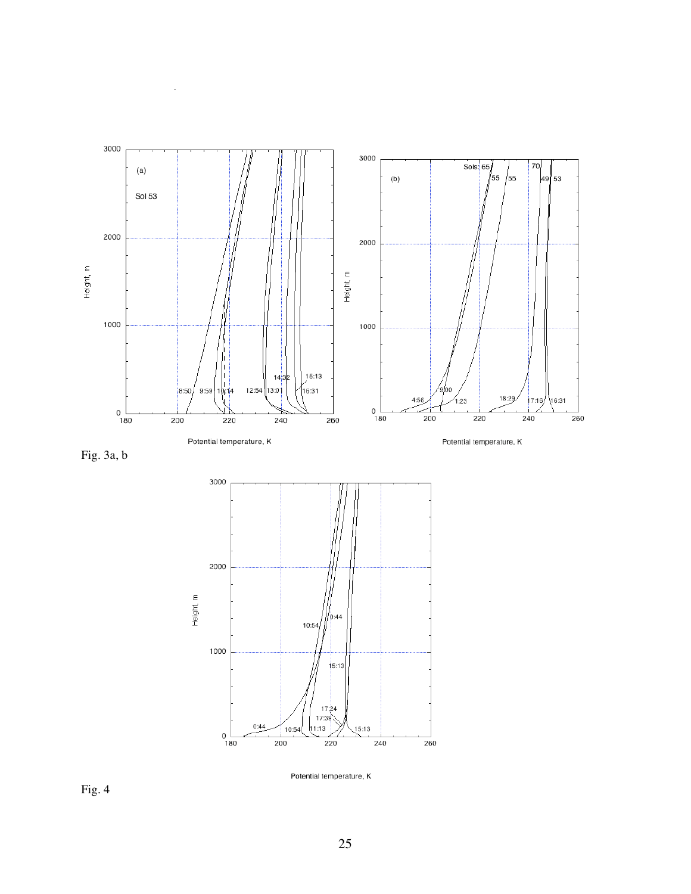

Fig. 3a, b

 $\lambda$ 



Potential temperature, K

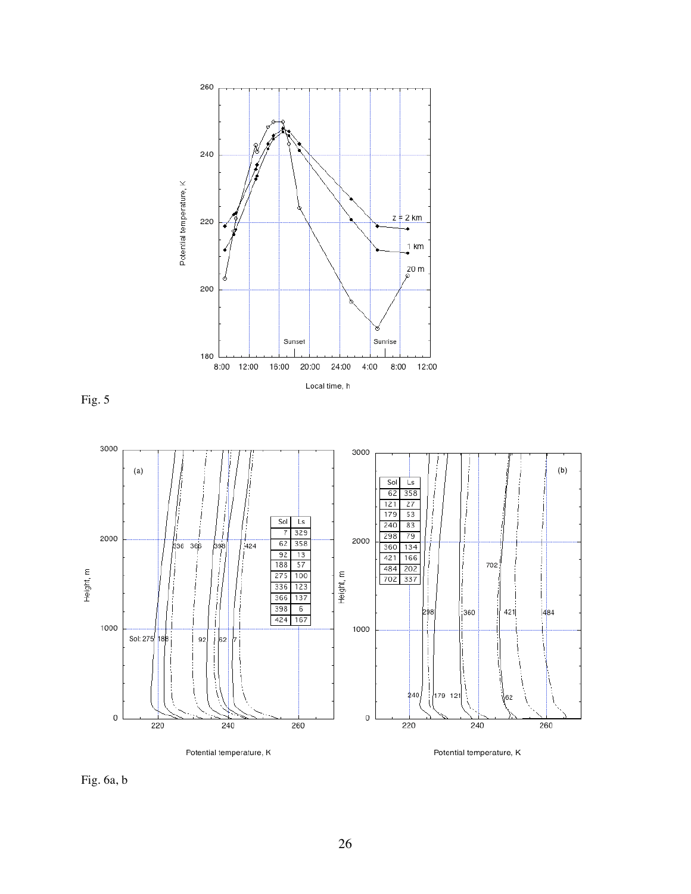

Fig. 5



Fig. 6a, b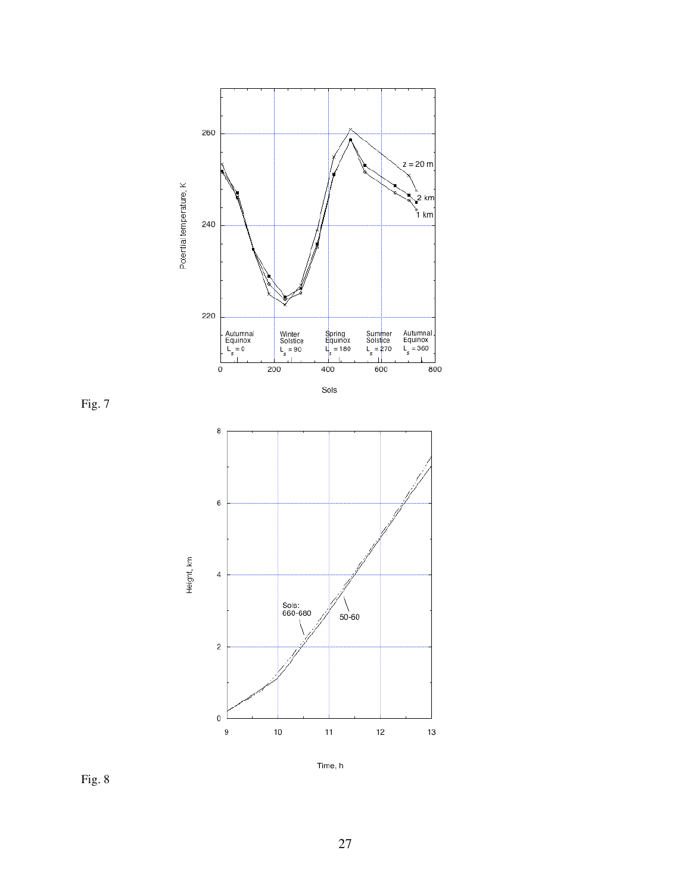

Time, h

Fig. 8

Fig. 7